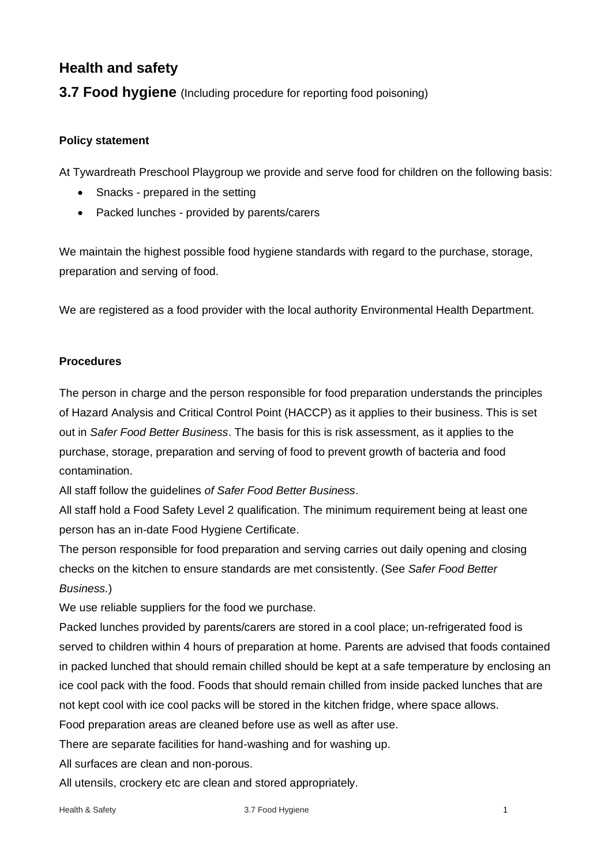# **Health and safety**

**3.7 Food hygiene** (Including procedure for reporting food poisoning)

## **Policy statement**

At Tywardreath Preschool Playgroup we provide and serve food for children on the following basis:

- Snacks prepared in the setting
- Packed lunches provided by parents/carers

We maintain the highest possible food hygiene standards with regard to the purchase, storage, preparation and serving of food.

We are registered as a food provider with the local authority Environmental Health Department.

### **Procedures**

The person in charge and the person responsible for food preparation understands the principles of Hazard Analysis and Critical Control Point (HACCP) as it applies to their business. This is set out in *Safer Food Better Business*. The basis for this is risk assessment, as it applies to the purchase, storage, preparation and serving of food to prevent growth of bacteria and food contamination.

All staff follow the guidelines *of Safer Food Better Business*.

All staff hold a Food Safety Level 2 qualification. The minimum requirement being at least one person has an in-date Food Hygiene Certificate.

The person responsible for food preparation and serving carries out daily opening and closing checks on the kitchen to ensure standards are met consistently. (See *Safer Food Better Business.*)

We use reliable suppliers for the food we purchase.

Packed lunches provided by parents/carers are stored in a cool place; un-refrigerated food is served to children within 4 hours of preparation at home. Parents are advised that foods contained in packed lunched that should remain chilled should be kept at a safe temperature by enclosing an ice cool pack with the food. Foods that should remain chilled from inside packed lunches that are not kept cool with ice cool packs will be stored in the kitchen fridge, where space allows.

Food preparation areas are cleaned before use as well as after use.

There are separate facilities for hand-washing and for washing up.

All surfaces are clean and non-porous.

All utensils, crockery etc are clean and stored appropriately.